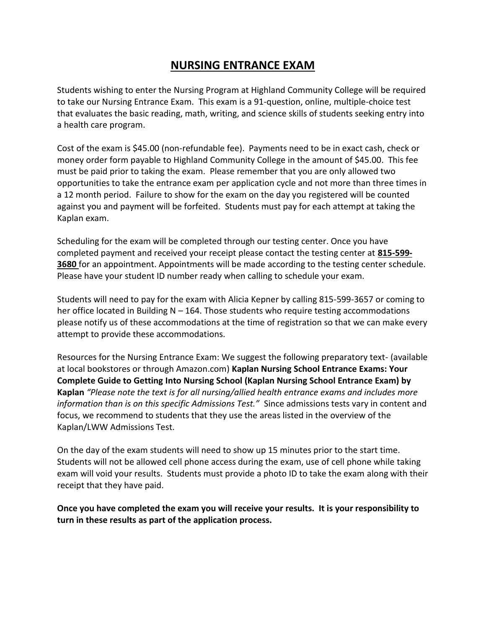## **NURSING ENTRANCE EXAM**

Students wishing to enter the Nursing Program at Highland Community College will be required to take our Nursing Entrance Exam. This exam is a 91-question, online, multiple-choice test that evaluates the basic reading, math, writing, and science skills of students seeking entry into a health care program.

Cost of the exam is \$45.00 (non-refundable fee). Payments need to be in exact cash, check or money order form payable to Highland Community College in the amount of \$45.00. This fee must be paid prior to taking the exam. Please remember that you are only allowed two opportunities to take the entrance exam per application cycle and not more than three times in a 12 month period. Failure to show for the exam on the day you registered will be counted against you and payment will be forfeited. Students must pay for each attempt at taking the Kaplan exam.

Scheduling for the exam will be completed through our testing center. Once you have completed payment and received your receipt please contact the testing center at **815-599- 3680** for an appointment. Appointments will be made according to the testing center schedule. Please have your student ID number ready when calling to schedule your exam.

Students will need to pay for the exam with Alicia Kepner by calling 815-599-3657 or coming to her office located in Building  $N - 164$ . Those students who require testing accommodations please notify us of these accommodations at the time of registration so that we can make every attempt to provide these accommodations.

Resources for the Nursing Entrance Exam: We suggest the following preparatory text- (available at local bookstores or through Amazon.com) **Kaplan Nursing School Entrance Exams: Your Complete Guide to Getting Into Nursing School (Kaplan Nursing School Entrance Exam) by Kaplan** *"Please note the text is for all nursing/allied health entrance exams and includes more information than is on this specific Admissions Test."* Since admissions tests vary in content and focus, we recommend to students that they use the areas listed in the overview of the Kaplan/LWW Admissions Test.

On the day of the exam students will need to show up 15 minutes prior to the start time. Students will not be allowed cell phone access during the exam, use of cell phone while taking exam will void your results. Students must provide a photo ID to take the exam along with their receipt that they have paid.

**Once you have completed the exam you will receive your results. It is your responsibility to turn in these results as part of the application process.**